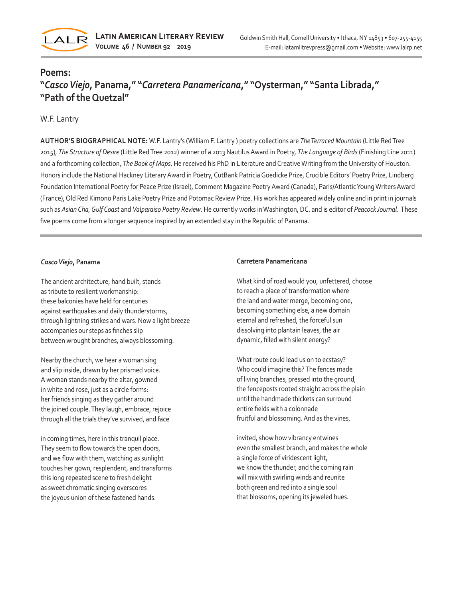

# **Poems:**

# **"***Casco Viejo***, Panama," "***Carretera Panamericana***," "Oysterman," "Santa Librada," "Path of the Quetzal"**

## W.F. Lantry

**AUTHOR'S BIOGRAPHICAL NOTE:** W.F. Lantry's (William F. Lantry ) poetry collections are *The Terraced Mountain* (Little Red Tree 2015), *The Structure of Desire* (Little Red Tree 2012) winner of a 2013 Nautilus Award in Poetry, *The Language of Birds* (Finishing Line 2011) and a forthcoming collection, *The Book of Maps*. He received his PhD in Literature and Creative Writing from the University of Houston. Honors include the National Hackney Literary Award in Poetry, CutBank Patricia Goedicke Prize, Crucible Editors' Poetry Prize, Lindberg Foundation International Poetry for Peace Prize (Israel), Comment Magazine Poetry Award (Canada), Paris/Atlantic Young Writers Award (France), Old Red Kimono Paris Lake Poetry Prize and Potomac Review Prize. His work has appeared widely online and in print in journals such as *Asian Cha, Gulf Coast* and *Valparaiso Poetry Review*. He currently works in Washington, DC. and is editor of *Peacock Journal*. These five poems come from a longer sequence inspired by an extended stay in the Republic of Panama.

### *Casco Viejo***, Panama**

The ancient architecture, hand built, stands as tribute to resilient workmanship: these balconies have held for centuries against earthquakes and daily thunderstorms, through lightning strikes and wars. Now a light breeze accompanies our steps as finches slip between wrought branches, always blossoming.

Nearby the church, we hear a woman sing and slip inside, drawn by her prismed voice. A woman stands nearby the altar, gowned in white and rose, just as a circle forms: her friends singing as they gather around the joined couple. They laugh, embrace, rejoice through all the trials they've survived, and face

in coming times, here in this tranquil place. They seem to flow towards the open doors, and we flow with them, watching as sunlight touches her gown, resplendent, and transforms this long repeated scene to fresh delight as sweet chromatic singing overscores the joyous union of these fastened hands.

### **Carretera Panamericana**

What kind of road would you, unfettered, choose to reach a place of transformation where the land and water merge, becoming one, becoming something else, a new domain eternal and refreshed, the forceful sun dissolving into plantain leaves, the air dynamic, filled with silent energy?

What route could lead us on to ecstasy? Who could imagine this? The fences made of living branches, pressed into the ground, the fenceposts rooted straight across the plain until the handmade thickets can surround entire fields with a colonnade fruitful and blossoming. And as the vines,

invited, show how vibrancy entwines even the smallest branch, and makes the whole a single force of viridescent light, we know the thunder, and the coming rain will mix with swirling winds and reunite both green and red into a single soul that blossoms, opening its jeweled hues.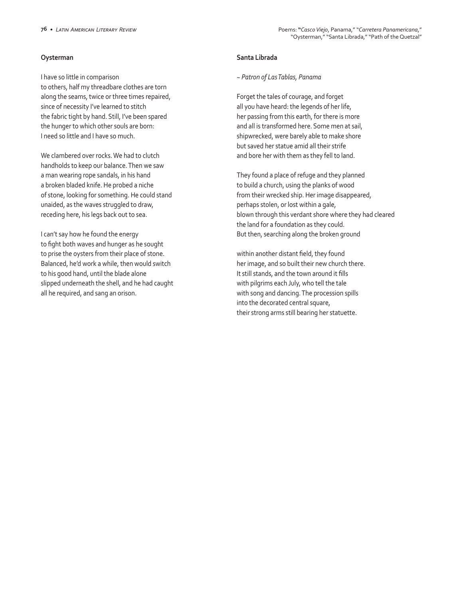### **Oysterman**

I have so little in comparison to others, half my threadbare clothes are torn along the seams, twice or three times repaired, since of necessity I've learned to stitch the fabric tight by hand. Still, I've been spared the hunger to which other souls are born: I need so little and I have so much.

We clambered over rocks. We had to clutch handholds to keep our balance. Then we saw a man wearing rope sandals, in his hand a broken bladed knife. He probed a niche of stone, looking for something. He could stand unaided, as the waves struggled to draw, receding here, his legs back out to sea.

I can't say how he found the energy to fight both waves and hunger as he sought to prise the oysters from their place of stone. Balanced, he'd work a while, then would switch to his good hand, until the blade alone slipped underneath the shell, and he had caught all he required, and sang an orison.

### **Santa Librada**

#### *~ Patron of Las Tablas, Panama*

Forget the tales of courage, and forget all you have heard: the legends of her life, her passing from this earth, for there is more and all is transformed here. Some men at sail, shipwrecked, were barely able to make shore but saved her statue amid all their strife and bore her with them as they fell to land.

They found a place of refuge and they planned to build a church, using the planks of wood from their wrecked ship. Her image disappeared, perhaps stolen, or lost within a gale, blown through this verdant shore where they had cleared the land for a foundation as they could. But then, searching along the broken ground

within another distant field, they found her image, and so built their new church there. It still stands, and the town around it fills with pilgrims each July, who tell the tale with song and dancing. The procession spills into the decorated central square, their strong arms still bearing her statuette.